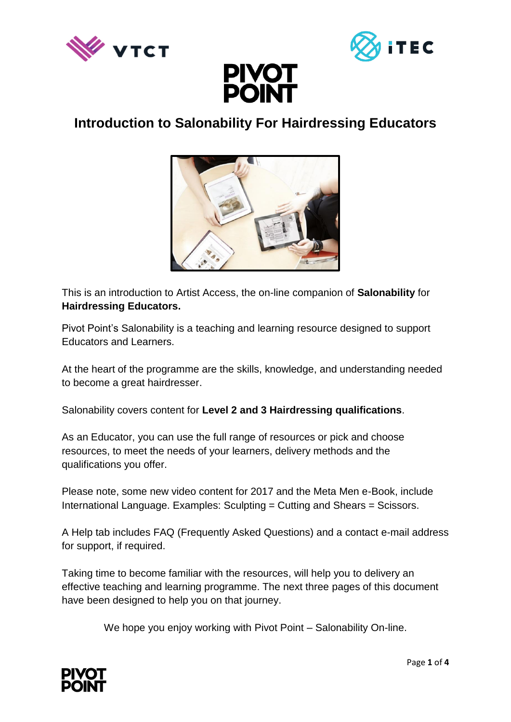





# **Introduction to Salonability For Hairdressing Educators**



This is an introduction to Artist Access, the on-line companion of **Salonability** for **Hairdressing Educators.** 

Pivot Point's Salonability is a teaching and learning resource designed to support Educators and Learners.

At the heart of the programme are the skills, knowledge, and understanding needed to become a great hairdresser.

Salonability covers content for **Level 2 and 3 Hairdressing qualifications**.

As an Educator, you can use the full range of resources or pick and choose resources, to meet the needs of your learners, delivery methods and the qualifications you offer.

Please note, some new video content for 2017 and the Meta Men e-Book, include International Language. Examples: Sculpting = Cutting and Shears = Scissors.

A Help tab includes FAQ (Frequently Asked Questions) and a contact e-mail address for support, if required.

Taking time to become familiar with the resources, will help you to delivery an effective teaching and learning programme. The next three pages of this document have been designed to help you on that journey.

We hope you enjoy working with Pivot Point – Salonability On-line.

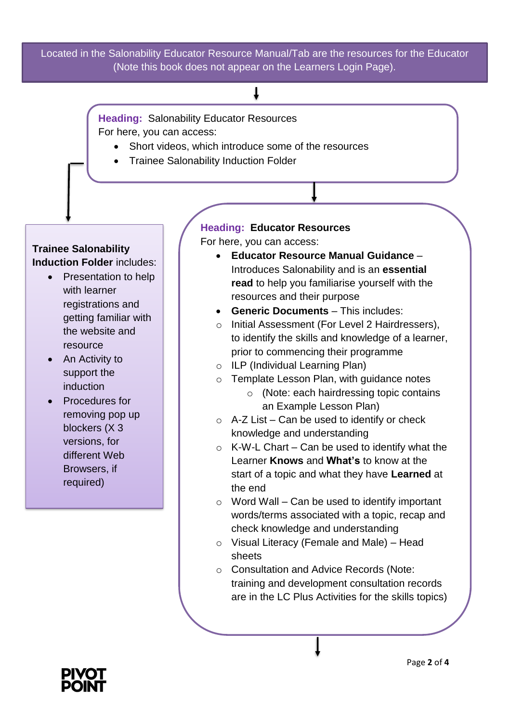Located in the Salonability Educator Resource Manual/Tab are the resources for the Educator (Note this book does not appear on the Learners Login Page).

## T

**Heading:** Salonability Educator Resources For here, you can access:

- Short videos, which introduce some of the resources
- Trainee Salonability Induction Folder

### **Trainee Salonability Induction Folder** includes:

- Presentation to help with learner registrations and getting familiar with the website and resource
- An Activity to support the induction
- Procedures for removing pop up blockers (X 3 versions, for different Web Browsers, if required)

# **Heading: Educator Resources**

For here, you can access:

- **Educator Resource Manual Guidance**  Introduces Salonability and is an **essential read** to help you familiarise yourself with the resources and their purpose
- **Generic Documents** This includes:
- o Initial Assessment (For Level 2 Hairdressers), to identify the skills and knowledge of a learner, prior to commencing their programme
- o ILP (Individual Learning Plan)
- o Template Lesson Plan, with guidance notes
	- o (Note: each hairdressing topic contains an Example Lesson Plan)
- $\circ$  A-Z List Can be used to identify or check knowledge and understanding
- $\circ$  K-W-L Chart Can be used to identify what the Learner **Knows** and **What's** to know at the start of a topic and what they have **Learned** at the end
- $\circ$  Word Wall Can be used to identify important words/terms associated with a topic, recap and check knowledge and understanding
- o Visual Literacy (Female and Male) Head sheets
- o Consultation and Advice Records (Note: training and development consultation records are in the LC Plus Activities for the skills topics)

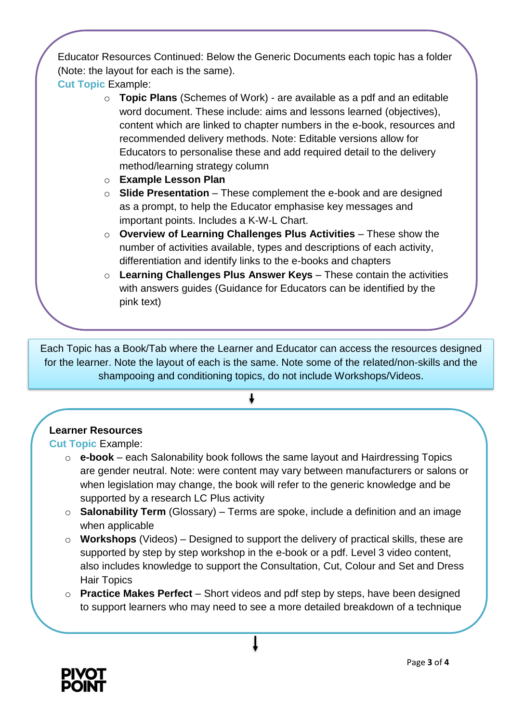Educator Resources Continued: Below the Generic Documents each topic has a folder (Note: the layout for each is the same).

**Cut Topic** Example:

- o **Topic Plans** (Schemes of Work) are available as a pdf and an editable word document. These include: aims and lessons learned (objectives), content which are linked to chapter numbers in the e-book, resources and recommended delivery methods. Note: Editable versions allow for Educators to personalise these and add required detail to the delivery method/learning strategy column
- o **Example Lesson Plan**
- o **Slide Presentation** These complement the e-book and are designed as a prompt, to help the Educator emphasise key messages and important points. Includes a K-W-L Chart.
- o **Overview of Learning Challenges Plus Activities** These show the number of activities available, types and descriptions of each activity, differentiation and identify links to the e-books and chapters
- o **Learning Challenges Plus Answer Keys** These contain the activities with answers guides (Guidance for Educators can be identified by the pink text)

Each Topic has a Book/Tab where the Learner and Educator can access the resources designed for the learner. Note the layout of each is the same. Note some of the related/non-skills and the shampooing and conditioning topics, do not include Workshops/Videos.

## **Learner Resources**

**Cut Topic** Example:

- o **e-book**  each Salonability book follows the same layout and Hairdressing Topics are gender neutral. Note: were content may vary between manufacturers or salons or when legislation may change, the book will refer to the generic knowledge and be supported by a research LC Plus activity
- o **Salonability Term** (Glossary) Terms are spoke, include a definition and an image when applicable
- o **Workshops** (Videos) Designed to support the delivery of practical skills, these are supported by step by step workshop in the e-book or a pdf. Level 3 video content, also includes knowledge to support the Consultation, Cut, Colour and Set and Dress Hair Topics
- o **Practice Makes Perfect**  Short videos and pdf step by steps, have been designed to support learners who may need to see a more detailed breakdown of a technique